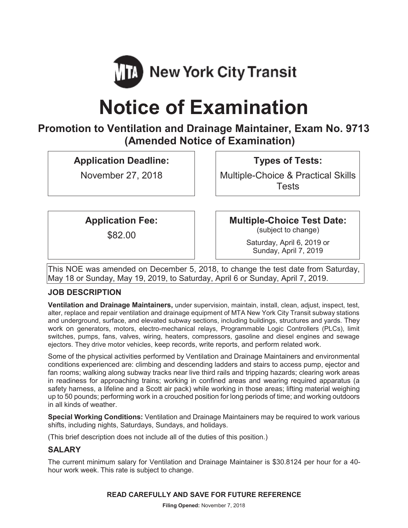

# **Notice of Examination**

## **Promotion to Ventilation and Drainage Maintainer, Exam No. 9713 (Amended Notice of Examination)**

**Application Deadline:** 

November 27, 2018

**Types of Tests:** 

Multiple-Choice & Practical Skills **Tests** 

**Application Fee:** 

\$82.00

**Multiple-Choice Test Date:**<br>(subject to change)

Saturday, April 6, 2019 or Sunday, April 7, 2019

This NOE was amended on December 5, 2018, to change the test date from Saturday, May 18 or Sunday, May 19, 2019, to Saturday, April 6 or Sunday, April 7, 2019.

## **JOB DESCRIPTION**

**Ventilation and Drainage Maintainers,** under supervision, maintain, install, clean, adjust, inspect, test, alter, replace and repair ventilation and drainage equipment of MTA New York City Transit subway stations and underground, surface, and elevated subway sections, including buildings, structures and yards. They work on generators, motors, electro-mechanical relays, Programmable Logic Controllers (PLCs), limit switches, pumps, fans, valves, wiring, heaters, compressors, gasoline and diesel engines and sewage ejectors. They drive motor vehicles, keep records, write reports, and perform related work.

Some of the physical activities performed by Ventilation and Drainage Maintainers and environmental conditions experienced are: climbing and descending ladders and stairs to access pump, ejector and fan rooms; walking along subway tracks near live third rails and tripping hazards; clearing work areas in readiness for approaching trains; working in confined areas and wearing required apparatus (a safety harness, a lifeline and a Scott air pack) while working in those areas; lifting material weighing up to 50 pounds; performing work in a crouched position for long periods of time; and working outdoors in all kinds of weather.

**Special Working Conditions:** Ventilation and Drainage Maintainers may be required to work various shifts, including nights, Saturdays, Sundays, and holidays.

(This brief description does not include all of the duties of this position.)

## **SALARY**

The current minimum salary for Ventilation and Drainage Maintainer is \$30.8124 per hour for a 40 hour work week. This rate is subject to change.

## **READ CAREFULLY AND SAVE FOR FUTURE REFERENCE**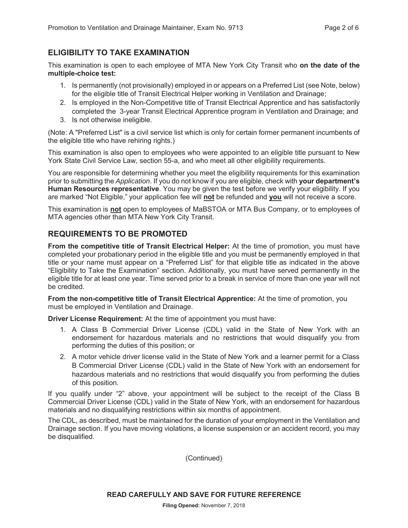## **ELIGIBILITY TO TAKE EXAMINATION**

This examination is open to each employee of MTA New York City Transit who **on the date of the multiple-choice test:** 

- 1. Is permanently (not provisionally) employed in or appears on a Preferred List (see Note, below) for the eligible title of Transit Electrical Helper working in Ventilation and Drainage;
- 2. Is employed in the Non-Competitive title of Transit Electrical Apprentice and has satisfactorily completed the 3-year Transit Electrical Apprentice program in Ventilation and Drainage; and
- 3. Is not otherwise ineligible.

(Note: A "Preferred List" is a civil service list which is only for certain former permanent incumbents of the eligible title who have rehiring rights.)

This examination is also open to employees who were appointed to an eligible title pursuant to New York State Civil Service Law, section 55-a, and who meet all other eligibility requirements.

You are responsible for determining whether you meet the eligibility requirements for this examination prior to submitting the *Application*. If you do not know if you are eligible, check with **your department's Human Resources representative**. You may be given the test before we verify your eligibility. If you are marked "Not Eligible," your application fee will **not** be refunded and **you** will not receive a score.

This examination is **not** open to employees of MaBSTOA or MTA Bus Company, or to employees of MTA agencies other than MTA New York City Transit.

## **REQUIREMENTS TO BE PROMOTED**

**From the competitive title of Transit Electrical Helper:** At the time of promotion, you must have completed your probationary period in the eligible title and you must be permanently employed in that title or your name must appear on a "Preferred List" for that eligible title as indicated in the above "Eligibility to Take the Examination" section. Additionally, you must have served permanently in the eligible title for at least one year. Time served prior to a break in service of more than one year will not be credited.

**From the non-competitive title of Transit Electrical Apprentice:** At the time of promotion, you must be employed in Ventilation and Drainage.

**Driver License Requirement:** At the time of appointment you must have:

- 1. A Class B Commercial Driver License (CDL) valid in the State of New York with an endorsement for hazardous materials and no restrictions that would disqualify you from performing the duties of this position; or
- 2. A motor vehicle driver license valid in the State of New York and a learner permit for a Class B Commercial Driver License (CDL) valid in the State of New York with an endorsement for hazardous materials and no restrictions that would disqualify you from performing the duties of this position.

If you qualify under "2" above, your appointment will be subject to the receipt of the Class B Commercial Driver License (CDL) valid in the State of New York, with an endorsement for hazardous materials and no disqualifying restrictions within six months of appointment.

The CDL, as described, must be maintained for the duration of your employment in the Ventilation and Drainage section. If you have moving violations, a license suspension or an accident record, you may be disqualified.

(Continued)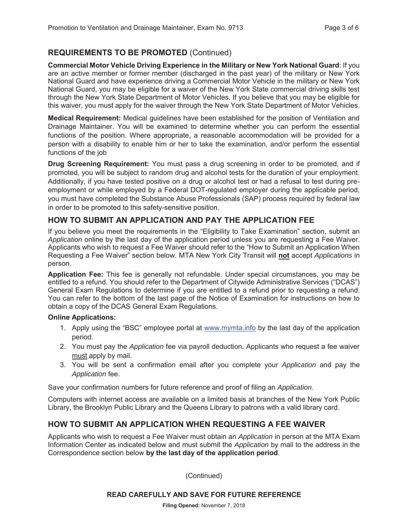## **REQUIREMENTS TO BE PROMOTED** (Continued)

**Commercial Motor Vehicle Driving Experience in the Military or New York National Guard**: If you are an active member or former member (discharged in the past year) of the military or New York National Guard and have experience driving a Commercial Motor Vehicle in the military or New York National Guard, you may be eligible for a waiver of the New York State commercial driving skills test through the New York State Department of Motor Vehicles. If you believe that you may be eligible for this waiver, you must apply for the waiver through the New York State Department of Motor Vehicles.

**Medical Requirement:** Medical guidelines have been established for the position of Ventilation and Drainage Maintainer. You will be examined to determine whether you can perform the essential functions of the position. Where appropriate, a reasonable accommodation will be provided for a person with a disability to enable him or her to take the examination, and/or perform the essential functions of the job

**Drug Screening Requirement:** You must pass a drug screening in order to be promoted, and if promoted, you will be subject to random drug and alcohol tests for the duration of your employment. Additionally, if you have tested positive on a drug or alcohol test or had a refusal to test during preemployment or while employed by a Federal DOT-regulated employer during the applicable period, you must have completed the Substance Abuse Professionals (SAP) process required by federal law in order to be promoted to this safety-sensitive position.

## **HOW TO SUBMIT AN APPLICATION AND PAY THE APPLICATION FEE**

If you believe you meet the requirements in the "Eligibility to Take Examination" section, submit an *Application* online by the last day of the application period unless you are requesting a Fee Waiver. Applicants who wish to request a Fee Waiver should refer to the "How to Submit an Application When Requesting a Fee Waiver" section below. MTA New York City Transit will **not** accept *Applications* in person.

**Application Fee:** This fee is generally not refundable. Under special circumstances, you may be entitled to a refund. You should refer to the Department of Citywide Administrative Services ("DCAS") General Exam Regulations to determine if you are entitled to a refund prior to requesting a refund. You can refer to the bottom of the last page of the Notice of Examination for instructions on how to obtain a copy of the DCAS General Exam Regulations.

#### **Online Applications:**

- 1. Apply using the "BSC" employee portal at www.mymta.info by the last day of the application period.
- 2. You must pay the *Application* fee via payroll deduction. Applicants who request a fee waiver must apply by mail.
- 3. You will be sent a confirmation email after you complete your *Application* and pay the *Application* fee.

Save your confirmation numbers for future reference and proof of filing an *Application.*

Computers with internet access are available on a limited basis at branches of the New York Public Library, the Brooklyn Public Library and the Queens Library to patrons with a valid library card.

## **HOW TO SUBMIT AN APPLICATION WHEN REQUESTING A FEE WAIVER**

Applicants who wish to request a Fee Waiver must obtain an *Application* in person at the MTA Exam Information Center as indicated below and must submit the *Application* by mail to the address in the Correspondence section below **by the last day of the application period**.

(Continued)

#### **READ CAREFULLY AND SAVE FOR FUTURE REFERENCE**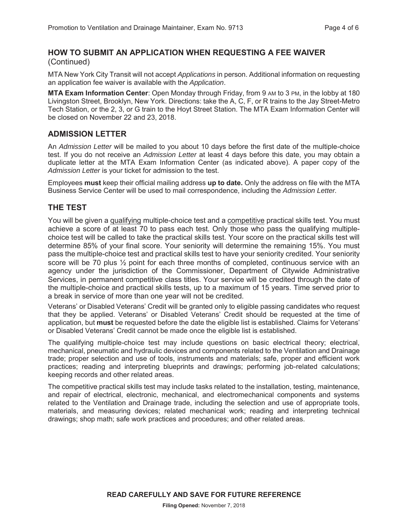#### **HOW TO SUBMIT AN APPLICATION WHEN REQUESTING A FEE WAIVER**  (Continued)

MTA New York City Transit will not accept *Applications* in person. Additional information on requesting an application fee waiver is available with the *Application*.

**MTA Exam Information Center**: Open Monday through Friday, from 9 AM to 3 PM, in the lobby at 180 Livingston Street, Brooklyn, New York. Directions: take the A, C, F, or R trains to the Jay Street-Metro Tech Station, or the 2, 3, or G train to the Hoyt Street Station. The MTA Exam Information Center will be closed on November 22 and 23, 2018.

#### **ADMISSION LETTER**

An *Admission Letter* will be mailed to you about 10 days before the first date of the multiple-choice test. If you do not receive an *Admission Letter* at least 4 days before this date, you may obtain a duplicate letter at the MTA Exam Information Center (as indicated above). A paper copy of the *Admission Letter* is your ticket for admission to the test.

Employees **must** keep their official mailing address **up to date.** Only the address on file with the MTA Business Service Center will be used to mail correspondence, including the *Admission Letter.* 

#### **THE TEST**

You will be given a qualifying multiple-choice test and a competitive practical skills test. You must achieve a score of at least 70 to pass each test. Only those who pass the qualifying multiplechoice test will be called to take the practical skills test. Your score on the practical skills test will determine 85% of your final score. Your seniority will determine the remaining 15%. You must pass the multiple-choice test and practical skills test to have your seniority credited. Your seniority score will be 70 plus  $\frac{1}{2}$  point for each three months of completed, continuous service with an agency under the jurisdiction of the Commissioner, Department of Citywide Administrative Services, in permanent competitive class titles. Your service will be credited through the date of the multiple-choice and practical skills tests, up to a maximum of 15 years. Time served prior to a break in service of more than one year will not be credited.

Veterans' or Disabled Veterans' Credit will be granted only to eligible passing candidates who request that they be applied. Veterans' or Disabled Veterans' Credit should be requested at the time of application, but **must** be requested before the date the eligible list is established. Claims for Veterans' or Disabled Veterans' Credit cannot be made once the eligible list is established.

The qualifying multiple-choice test may include questions on basic electrical theory; electrical, mechanical, pneumatic and hydraulic devices and components related to the Ventilation and Drainage trade; proper selection and use of tools, instruments and materials; safe, proper and efficient work practices; reading and interpreting blueprints and drawings; performing job-related calculations; keeping records and other related areas.

The competitive practical skills test may include tasks related to the installation, testing, maintenance, and repair of electrical, electronic, mechanical, and electromechanical components and systems related to the Ventilation and Drainage trade, including the selection and use of appropriate tools, materials, and measuring devices; related mechanical work; reading and interpreting technical drawings; shop math; safe work practices and procedures; and other related areas.

**READ CAREFULLY AND SAVE FOR FUTURE REFERENCE**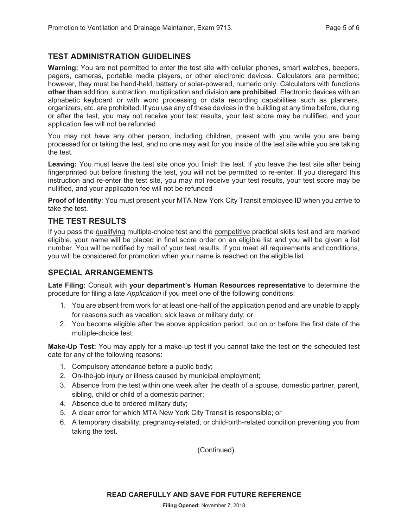## **TEST ADMINISTRATION GUIDELINES**

**Warning:** You are not permitted to enter the test site with cellular phones, smart watches, beepers, pagers, cameras, portable media players, or other electronic devices. Calculators are permitted; however, they must be hand-held, battery or solar-powered, numeric only. Calculators with functions **other than** addition, subtraction, multiplication and division **are prohibited**. Electronic devices with an alphabetic keyboard or with word processing or data recording capabilities such as planners, organizers, etc. are prohibited. If you use any of these devices in the building at any time before, during or after the test, you may not receive your test results, your test score may be nullified, and your application fee will not be refunded.

You may not have any other person, including children, present with you while you are being processed for or taking the test, and no one may wait for you inside of the test site while you are taking the test.

**Leaving:** You must leave the test site once you finish the test. If you leave the test site after being fingerprinted but before finishing the test, you will not be permitted to re-enter. If you disregard this instruction and re-enter the test site, you may not receive your test results, your test score may be nullified, and your application fee will not be refunded

**Proof of Identity**: You must present your MTA New York City Transit employee ID when you arrive to take the test.

#### **THE TEST RESULTS**

If you pass the qualifying multiple-choice test and the competitive practical skills test and are marked eligible, your name will be placed in final score order on an eligible list and you will be given a list number. You will be notified by mail of your test results. If you meet all requirements and conditions, you will be considered for promotion when your name is reached on the eligible list.

#### **SPECIAL ARRANGEMENTS**

**Late Filing:** Consult with **your department's Human Resources representative** to determine the procedure for filing a late *Application* if you meet one of the following conditions:

- 1. You are absent from work for at least one-half of the application period and are unable to apply for reasons such as vacation, sick leave or military duty; or
- 2. You become eligible after the above application period, but on or before the first date of the multiple-choice test.

**Make-Up Test:** You may apply for a make-up test if you cannot take the test on the scheduled test date for any of the following reasons:

- 1. Compulsory attendance before a public body;
- 2. On-the-job injury or illness caused by municipal employment;
- 3. Absence from the test within one week after the death of a spouse, domestic partner, parent, sibling, child or child of a domestic partner;
- 4. Absence due to ordered military duty;
- 5. A clear error for which MTA New York City Transit is responsible; or
- 6. A temporary disability, pregnancy-related, or child-birth-related condition preventing you from taking the test.

(Continued)